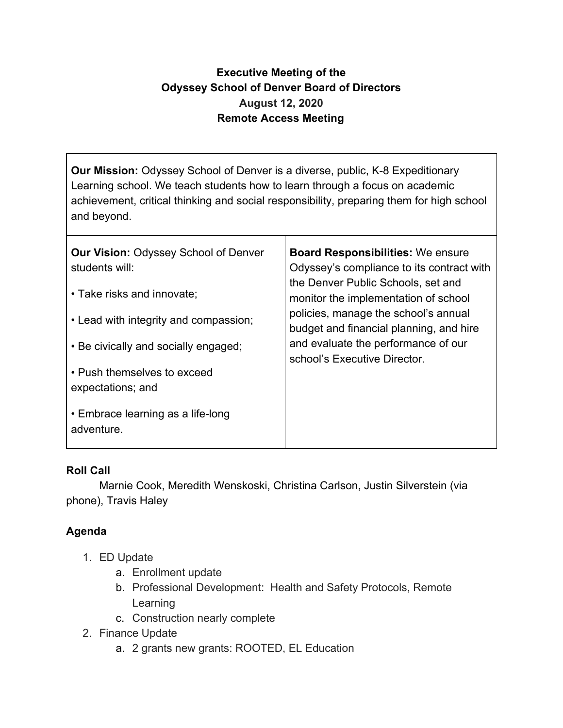## **Executive Meeting of the Odyssey School of Denver Board of Directors August 12, 2020 Remote Access Meeting**

**Our Mission:** Odyssey School of Denver is a diverse, public, K-8 Expeditionary Learning school. We teach students how to learn through a focus on academic achievement, critical thinking and social responsibility, preparing them for high school and beyond.

| <b>Our Vision: Odyssey School of Denver</b><br>students will:<br>• Take risks and innovate;<br>• Lead with integrity and compassion;<br>• Be civically and socially engaged;<br>• Push themselves to exceed<br>expectations; and | <b>Board Responsibilities: We ensure</b><br>Odyssey's compliance to its contract with<br>the Denver Public Schools, set and<br>monitor the implementation of school<br>policies, manage the school's annual<br>budget and financial planning, and hire<br>and evaluate the performance of our<br>school's Executive Director. |
|----------------------------------------------------------------------------------------------------------------------------------------------------------------------------------------------------------------------------------|-------------------------------------------------------------------------------------------------------------------------------------------------------------------------------------------------------------------------------------------------------------------------------------------------------------------------------|
| • Embrace learning as a life-long<br>adventure.                                                                                                                                                                                  |                                                                                                                                                                                                                                                                                                                               |

## **Roll Call**

Marnie Cook, Meredith Wenskoski, Christina Carlson, Justin Silverstein (via phone), Travis Haley

## **Agenda**

- 1. ED Update
	- a. Enrollment update
	- b. Professional Development: Health and Safety Protocols, Remote Learning
	- c. Construction nearly complete
- 2. Finance Update
	- a. 2 grants new grants: ROOTED, EL Education